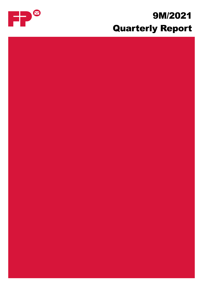## 9M/2021 Quarterly Report

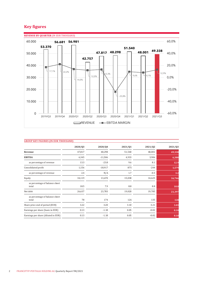#### **Key figures**



| <b>GROUP KEY FIGURES (IN EUR THOUSAND)</b> |         |           |         |         |         |  |
|--------------------------------------------|---------|-----------|---------|---------|---------|--|
|                                            | 2020/Q3 | 2020/Q4   | 2021/Q1 | 2021/02 | 2021/Q3 |  |
| Revenue                                    | 47,817  | 48,298    | 51,540  | 48,001  | 49,338  |  |
| <b>EBITDA</b>                              | 6,345   | $-11,506$ | 4,933   | 3,906   | 6,380   |  |
| as percentage of revenue                   | 13.3    | $-23.8$   | 9.6     | 8.1     | 12.9    |  |
| Consolidated profit                        | 1,156   | $-18,917$ | 875     | $-244$  | 1,579   |  |
| as percentage of revenue                   | 2.4     | N/A       | 1.7     | $-0.5$  | 3.2     |  |
| Equity                                     | 34,119  | 13,670    | 15,038  | 14,625  | 16,746  |  |
| as percentage of balance sheet<br>total    | 18.5    | 7.9       | 8.8     | 8.8     | 10.0    |  |
| Net debt                                   | 26,637  | 23,783    | 19,020  | 19,785  | 21,397  |  |
| as percentage of balance sheet<br>total    | 78      | 174       | 126     | 135     | 128     |  |
| Share price end of period (EUR)            | 3.22    | 3.20      | 3.10    | 3.21    | 3.03    |  |
| Earnings per share (basic in EUR)          | 0.13    | $-1.18$   | 0.05    | $-0.02$ | 0.10    |  |
| Earnings per share (diluted in EUR)        | 0.13    | $-1.18$   | 0.05    | $-0.02$ | 0.10    |  |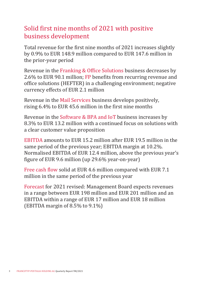## Solid first nine months of 2021 with positive business development

Total revenue for the first nine months of 2021 increases slightly by 0.9% to EUR 148.9 million compared to EUR 147.6 million in the prior-year period

Revenue in the Franking & Office Solutions business decreases by 2.6% to EUR 90.1 million; FP benefits from recurring revenue and office solutions (HEFTER) in a challenging environment; negative currency effects of EUR 2.1 million

Revenue in the Mail Services business develops positively, rising 6.4% to EUR 45.6 million in the first nine months

Revenue in the Software & BPA and IoT business increases by 8.3% to EUR 13.2 million with a continued focus on solutions with a clear customer value proposition

EBITDA amounts to EUR 15.2 million after EUR 19.5 million in the same period of the previous year; EBITDA margin at 10.2%. Normalised EBITDA of EUR 12.4 million, above the previous year's figure of EUR 9.6 million (up 29.6% year-on-year)

Free cash flow solid at EUR 4.6 million compared with EUR 7.1 million in the same period of the previous year

Forecast for 2021 revised: Management Board expects revenues in a range between EUR 198 million and EUR 201 million and an EBITDA within a range of EUR 17 million and EUR 18 million (EBITDA margin of 8.5% to 9.1%)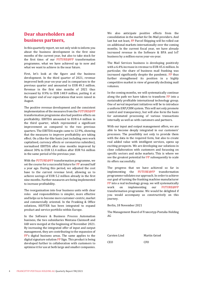#### **Dear shareholders and business partners,**

In this quarterly report, we not only wish to inform you about the business development in the first nine months of the current year, but also to take stock for the first time: of our FUTURE@FP transformation programme, what we have achieved up to now and what we want to achieve in the near future.

First, let's look at the figure and the business development. In the third quarter of 2021, revenue improved both year-on-year and in comparison to the previous quarter and amounted to EUR 49.3 million. Revenue in the first nine months of 2021 thus increased by 0.9% to EUR 148.9 million, putting it at the upper end of our expectations that were raised in August.

The positive revenue development and the consistent implementation of the measures from the FUTURE@FP transformation programme also had positive effects on profitability. EBITDA amounted to EUR 6.4 million in the third quarter, which represented a significant improvement as compared to the two previous quarters. The EBITDA margin came to 12.9%, showing that the measures to improve profitability are taking effect. On a like-for-like basis (not including own work capitalised, currency effects or coronavirus subsidies), normalised EBITDA after nine months improved by almost 30% to EUR 12.4 million after EUR 9.6 million in the same period of the previous year.

With the FUTURE@FP transformation programme, we set the course for a successful future for FP around half a year ago. During this period, we adjusted the cost base to the current revenue level, allowing us to achieve savings of EUR 5.2 million already in the first nine months. Further measures are being implemented to increase profitability.

The reorganisation into four business units with clear roles and responsibilities is simpler, more effective and helps us to become more customer-centric, market and commercially oriented. In the Franking & Office solutions, HEFTER has been integrated to expand product and service portfolio within Europe.

In the Software & Business Process Automation business, the two subsidiaries Mentana Claimsoft and IAB were merged at the beginning of November 2021. By increasing the integrated offer of input and output management, they are contributing to the expansion of FP's digital business areas. The same applies to the digital signature solution FP Sign. This product is being developed further in collaboration with customers to optimise it for use at both large and smaller companies. We also anticipate positive effects from the consolidation in the market for De-Mail providers. And last but not least, FP Parcel Shipping will be rolled out on additional markets internationally over the coming months. In the current fiscal year, we have already increased revenue in the Software & BPA and IoT business by a million euros year-on-year.

The Mail Services business is developing positively with a 6.4% increase in revenue to EUR 45.6 million. In particular, the share of business mail franking was increased significantly despite the pandemic. FP thus further strengthened its position in a highly competitive market in view of generally declining mail volumes.

In the coming months, we will systematically continue along the path we have taken to transform FP into a sustainably profitable international technology group. One of serval important initiatives will be to introduce a uniform ERP/CRM system. This will not only promote control and transparency, but will also form the basis for automated processing of various transactions internally as well as with customers and partners.

With our input and output management offers, we are able to become deeply integrated in our customers' processes. The possibility not only to provide them with the data in the required form, but also to create real added value with intelligent services, opens up exciting prospects. We are developing our solutions in close collaboration with customers and focussing on specific sectors and niche markets. This is where we see the greatest potential for FP subsequently to scale its offers successfully.

The progress that we have achieved so far in implementing the FUTURE@FP transformation programme validates our approach. In order to achieve our goal of turning the franking machine manufacturer FP into a real technology group, we will systematically work on implementing our FUTURE@FP transformation programme. We would be delighted if you would accompany us constructively on this journey.

Berlin, 18 November 2021

The Management Board of Francotyp-Postalia Holding AG

Carsten Lind Martin Geisel CEO CFO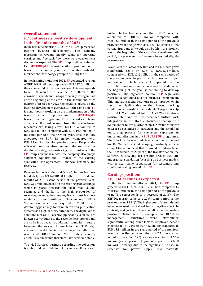#### **Overall statement: FP continues its positive development in the first nine months of 2021**

In the first nine months of 2021, the **FP** Group recorded positive business development. The company increased its revenue slightly, while for operating earnings and free cash flow there were year-on-year declines as expected. The **FP** Group is still working on its **FUTURE@FP** transformation programme to transform the company into a sustainably profitable international technology group in the long term.

In the first nine months of 2021, **FP** generated revenue of EUR 148.9 million compared to EUR 147.6 million in the same period of the previous year. This corresponds to a 0.9% increase in revenue. The effects of the coronavirus pandemic had a particularly strong impact at the beginning of the year. In the second and third quarter of fiscal year 2021 the negative effects on the business development decreased. At the same time, **FP** is continuously working on the implementation of the transformation programme **FUTURE@FP** transformation programme. Positive results are being seen here; the cost savings from the restructuring measures are taking effect. EBITDA amounted to EUR 15.2 million compared with EUR 19.5 million in the same period of the previous year. Free cash flow amounted to EUR 4.6 million compared with EUR 7.1 million in the previous year. Despite the effects of the coronavirus pandemic, the company thus developed stably, demonstrating the robustness of the **FP** Group's business model. The company also enjoys sufficient liquidity and – thanks to the existing syndicated loan agreement – financial flexibility and reserves.

Revenue in the Franking and Office Solutions business fell slightly by 2.6% to EUR 90.1 million in the first nine months of 2021 (same period of the previous year: EUR 92.5 million). Based on the existing product range, which is geared towards the small mail volume segment, and thanks to the high proportion of recurring revenue, the company has a robust business model and is well positioned. The company HEFTER Systemform, which was acquired in 2020, is still developing positively, for example with air purification systems and high-security shredders. The digital office solutions such as **FP** Parcel Shipping and Vision 360 are likewise contributing to the revenue development and are to be introduced in additional countries in future following the successful launch in the US. Foreign currency developments had a negative effect on revenue of EUR 2.1 million. Not including currency effects, revenue would therefore have remained stable.

The Mail Services business regarding the collection, franking and consolidation of business mail increased

further. In the first nine months of 2021, revenue amounted to EUR 45.6 million compared with EUR 42.9 million in the same period of the previous year, representing growth of 6.4%. The effects of the coronavirus pandemic could also be felt in this product area at the beginning of the year. Over the nine-month period, the processed mail volume increased slightly year-on-year.

Revenue in the Software & BPA and IoT business grew significantly again by 8.3% to EUR 13.2 million, compared with EUR 12.2 million in the same period of the previous year. In particular, business with input management, which was still impacted by the restrictions arising from the coronavirus pandemic at the beginning of the year, is continuing to develop positively. The signature solution **FP** Sign also recorded a continued positive business development. This innovative digital solution saw an improvement in the order pipeline due to the changed working conditions as a result of the pandemic. The partnership with DATEV eG entered into in April 2021 is also a positive step and will be expanded further with integration in the DATEV document management system in the fourth quarter of 2021. New functions for enterprise customers in particular and the simplified onboarding process for customers represent an important milestone in the **FUTURE@FP** programme. The solutions for electronic legal communication and for De-Mail are also developing positively after a competitor announced that it would withdraw from the De-Mail market. As part of the transformation, the Software & BPA and IoT product area is also still undergoing a validation focussing on business models with a clear value proposition for customers and significant scaling potential for **FP**.

#### **Earnings position: EBITDA declines as expected**

In the first nine months of 2021, the **FP** Group generated EBITDA of EUR 15.2 million compared to EUR 19.5 million in the same period of the previous year. This corresponds to a decrease of 21.8%. The EBITDA margin came to 10.2% (same period of the previous year: 13.2%). The higher cost of materials and lower own work capitalised had a negative effect. In contrast, savings in employee benefit expenses made a positive contribution to the development of EBITDA, as management structures were streamlined significantly, among other factors. Employee benefit expenses fell by 7.0% to EUR 42.6 million compared to EUR 45.8 million in the same period of the previous year. In the first nine months of 2021, the cost of materials rose by 6.9% year-on-year to EUR 74.6 million (same period of previous year: EUR 69.8 million), primarily due to the significant increase in expenses for power supply, raw materials,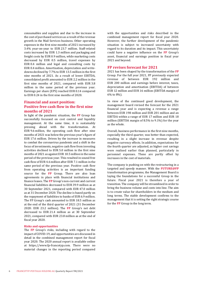consumables and supplies and due to the increase in the cost of purchased services as a result of the revenue growth in the Mail Services business. Other operating expenses in the first nine months of 2021 increased by 3.4% year-on-year to EUR 23.7 million. Staff-related costs increased by EUR 1.3 million and packaging and freight costs by EUR 0.9 million, while marketing costs decreased by EUR 0.5 million, travel expenses by EUR 0.4 million and legal and consulting costs by EUR 0.4 million. Amortisation, depreciation and writedowns declined by 7.7% to EUR 13.5 million in the first nine months of 2021. As a result of lower EBITDA, consolidated profit amounted to EUR 2.2 million in the first nine months of 2021, compared with EUR 3.8 million in the same period of the previous year. Earnings per share (EPS) reached EUR 0.14 compared to EUR 0.24 in the first nine months of 2020.

#### **Financial and asset position: Positive free cash flow in the first nine months of 2021**

In light of the pandemic situation, the **FP** Group has successfully focussed on cost control and liquidity management. At the same time, it is sustainably pressing ahead with the transformation. At EUR 9.6 million, the operating cash flow after nine months of 2021 was below the previous year's figure of EUR 17.6 million. Driven by the increase in measures to combat the coronavirus pandemic and a shift in the focus of investments, negative cash flow from investing activities declined to EUR 5.0 million in the first nine months of 2021 as against EUR 10.5 million in the same period of the previous year. This resulted in sound free cash flow of EUR 4.6 million after EUR 7.1 million in the same period of the previous year. Positive cash flow from operating activities is an important funding source for the **FP** Group. There are also loan agreements in place with financial institutions and finance leases. The **FP** Group's non-current and current financial liabilities decreased to EUR 39.9 million as at 30 September 2021, compared with EUR 47.0 million as at 31 December 2020. The decline is based partly on the repayment of liabilities to banks of EUR 6.9 million. The FP Group's cash amounted to EUR 18.5 million as at the end of the third quarter of 2021 (31 December 2020: EUR 23.2 million). The **FP** Group's net debt decreased to EUR 21.4 million as at 30 September 2021, compared with EUR 23.8 million as at the end of fiscal year 2020.

#### **Risks and opportunities**

The **FP** Group's risks, including with regard to the impact of COVID-19, and opportunities are discussed in detail in the combined management report for fiscal year 2020. The 2020 annual report is available online at https://www.fp-francotyp.com. There were no material changes in the reporting period compared

with the opportunities and risks described in the combined management report for fiscal year 2020. However, the further development of the pandemic situation is subject to increased uncertainty with regard to its duration and its impact. This uncertainty could have a negative influence on the **FP** Group's asset, financial and earnings position in fiscal year 2021 and beyond.

#### **FP revises forecast for 2021**

2021 has been shaped by the transformation of the **FP** Group. For the full year 2021, FP previously expected revenue of between EUR 192 million and EUR 200 million and earnings before interest, taxes, depreciation and amortisation (EBITDA) of between EUR 12 million and EUR 16 million (EBITDA margin of 6% to 8%).

In view of the continued good development, the management board revised the forecast for the 2021 financial year and is expecting a revenue a range between EUR 198 million and EUR 201 million and an EBITDA within a range of EUR 17 million and EUR 18 million (EBITDA margin of 8.5% to 9.1%) for the year as the whole.

Overall, business performance in the first nine months, especially the third quarter, was better than expected, resulting in a slight increase in revenue despite negative currency effects. In addition, expectations for the fourth quarter are adjusted, as higher cost savings were realised earlier than planned, particularly in personnel expenses. These are partly offset by increases in the cost of materials.

The company is pushing on with the restructuring in a targeted and speedy manner. With the **FUTURE@FP** transformation programme, the Management Board is laying the foundations for a successful Group in the future. Fiscal year 2021 is therefore a year of transition. The company will be streamlined in order to bring the business volume and costs into line. The aim is to create value for shareholders in the medium and long terms. The stable development confirms to the management that it is setting the right strategic course for the **FP** Group in the long term.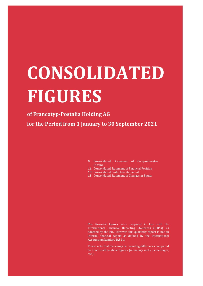# **CONSOLIDATED FIGURES**

#### **of Francotyp-Postalia Holding AG**

**for the Period from 1 January to 30 September 2021**

- **9** Consolidated Statement of Comprehensive Income
- **11** Consolidated Statement of Financial Position
- **13** Consolidated Cash Flow Statement
- **15** Consolidated Statement of Changes in Equity

The financial figures were prepared in line with the International Financial Reporting Standards (IFRSs), as adopted by the EU. However, this quarterly report is not an interim financial report as defined by the International Accounting Standard IAS 34.

Please note that there may be rounding differences compared to exact mathematical figures (monetary units, percentages, etc.).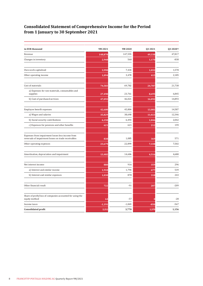#### **Consolidated Statement of Comprehensive Income for the Period from 1 January to 30 September 2021**

| in EUR thousand                                                                                         | 9M2021   | 9M 2020  | Q3 2021 | Q3 2020 <sup>1</sup> |
|---------------------------------------------------------------------------------------------------------|----------|----------|---------|----------------------|
| Revenue                                                                                                 | 148,878  | 147,555  | 49,338  | 47,817               |
| Changes in inventory                                                                                    | 2,948    | 560      | 1,170   | $-838$               |
| Own work capitalised                                                                                    | 3,990    | 7,434    | 1,032   | 1,578                |
| Other operating income                                                                                  | 1,094    | 3,478    | 415     | 2,185                |
| Cost of materials                                                                                       | 74,583   | 69,782   | 24,787  | 21,738               |
| a) Expenses for raw materials, consumables and<br>supplies                                              | 27,490   | 23,761   | 8,695   | 6,845                |
| b) Cost of purchased services                                                                           | 47,093   | 46,021   | 16,092  | 14,893               |
| Employee benefit expenses                                                                               | 42,600   | 45,804   | 13,081  | 14,587               |
| a) Wages and salaries                                                                                   | 35,829   | 38,690   | 11,023  | 12,346               |
| b) Social security contributions                                                                        | 6,150    | 6,493    | 1,846   | 2,042                |
| c) Expenses for pensions and other benefits                                                             | 621      | 621      | 212     | 199                  |
| Expenses from impairment losses less income from<br>reversals of impairment losses on trade receivables | 830      | 1,085    | 369     | 571                  |
| Other operating expenses                                                                                | 23,679   | 22,899   | 7,338   | 7,502                |
| Amortisation, depreciation and impairment                                                               | 13,482   | 14,606   | 4,516   | 4,680                |
| Net interest income                                                                                     | 880      | 916      | 359     | 296                  |
| a) Interest and similar income                                                                          | 1,910    | 1,794    | 677     | 539                  |
| b) Interest and similar expenses                                                                        | 1,030    | 878      | 318     | 243                  |
| Other financial result                                                                                  | 722      | $-91$    | 207     | $-209$               |
| Share of profit/loss of companies accounted for using the<br>equity method                              | 64       | $-57$    | O       | $-28$                |
| Income taxes                                                                                            | $-1,191$ | $-1,849$ | $-850$  | $-567$               |
| <b>Consolidated profit</b>                                                                              | 2,211    | 3,770    | 1,579   | 1,156                |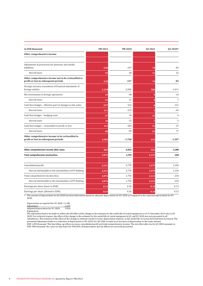| in EUR thousand                                                                              | 9M2021 | 9M 2020  | Q3 2021 | Q3 2020 <sup>1</sup> |
|----------------------------------------------------------------------------------------------|--------|----------|---------|----------------------|
| Other comprehensive income                                                                   |        |          |         |                      |
| Adjustment of provisions for pensions and similar                                            |        |          |         |                      |
| liabilities                                                                                  | $-220$ | $-247$   | $-74$   | $-83$                |
| thereof taxes                                                                                | 65     | 68       | 21      | 22                   |
| Other comprehensive income not to be reclassified to<br>profit or loss in subsequent periods | $-220$ | $-247$   | $-74$   | $-83$                |
| Foreign currency translation of financial statements of<br>foreign entities                  | 1,238  | $-2,065$ | 586     | $-1,411$             |
| Net investments in foreign operations                                                        | 29     | $-48$    |         | $-16$                |
| thereof taxes                                                                                | $-13$  | 21       |         | $\overline{7}$       |
| Cash flow hedges - effective part of changes to fair value                                   | $-257$ | 516      |         | 151                  |
| thereof taxes                                                                                | 111    | $-223$   |         | $-65$                |
| Cash flow hedges - hedging costs                                                             | $-37$  | 34       | $-15$   | $\sqrt{6}$           |
| thereof taxes                                                                                | 16     | $-15$    |         | $-3$                 |
| Cash flow hedges - reclassified to profit or loss                                            | 112    | $-205$   | 51      | $-37$                |
| thereof taxes                                                                                | $-48$  | 89       | $-22$   | 17                   |
| Other comprehensive income to be reclassified to<br>profit or loss in subsequent periods     | 1,085  | $-1,768$ | 615     | $-1,307$             |
| Other comprehensive income after taxes                                                       | 865    | $-2,015$ | 541     | $-1,390$             |
| Total comprehensive income/loss                                                              | 3,076  | 1,755    | 2,121   | $-234$               |
| Consolidated profit                                                                          | 2,211  | 3,770    | 1,579   | 1,156                |
| thereof attributable to the shareholders of FP Holding                                       | 2,211  | 3,770    | 1,579   | 1,156                |
| Total comprehensive income/loss                                                              | 3,076  | 1,755    | 2,121   | $-234$               |
| thereof attributable to the shareholders of FP Holding                                       | 3,076  | 1,755    | 2,121   | $-234$               |
| Earnings per share (basic in EUR)                                                            | 0.14   | 0.24     | 0.10    | 0.13                 |
| Earnings per share (diluted in EUR)                                                          | 0.14   | 0.24     | 0.10    | 0.12                 |

 $\overline{1}$  The amount of depreciation for Q3 2020 has been determined based on adjusted depreciation for H1 2020 as compared to the reported depreciation for H1 2020:

Depreciation as reported for H1 2020 11,185<br>Adjustment -1,259

Adjustment -1,259<br>Adjusted depreciation for H1 2020 9,926 Adjusted depreciation for H1 2020

Explanation: The adjustment had to be made to reflect the full effect of the change in the estimate for the useful life of rental equipment as of 31 December 2019 also in H1 2020. For technical reasons, the effect of the change in the estimate for the useful life of rental equipment in Q1 and H1 2020 was not presented in all<br>subsidiaries. The inclusion of the effect of the change in estimate r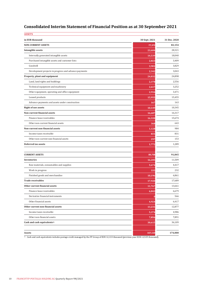### **Consolidated Interim Statement of Financial Position as at 30 September 2021**

| 30 Sept. 2021 | 31 Dec. 2020 |
|---------------|--------------|
| 77,372        | 82,154       |
| 23,604        | 28,321       |
| 14,539        | 18,040       |
| 2,823         | 3,409        |
| 3,901         | 3,829        |
| 2,342         | 3,043        |
| 24,032        | 24,898       |
| 2,378         | 2,556        |
| 2,617         | 3,252        |
| 2,916         | 3,471        |
| 15,955        | 15,455       |
| 167           | 163          |
| 10,149        | 10,345       |
| 16,687        | 16,317       |
| 16,320        | 15,674       |
| 368           | 643          |
| 1,128         | 984          |
| 831           | 831          |
| 297           | 153          |
| 1,772         | 1,289        |
|               |              |
| 89,738        | 91,845       |
| 16,205        | 11,509       |
| 5,674         | 4,417        |
| 335           | 232          |
| 10,196        | 6,861        |
| 17,920        | 17,689       |
| 11,767        | 13,661       |
| 6,843         | 6,679        |
|               | 566          |
| 4,924         | 6,417        |
| 13,231        | 12,877       |
| 5,374         | 4,986        |
| 7,856         | 7,891        |
| 30,615        | 36,109       |
|               |              |
| 167,110       | 174,000      |
|               |              |

<sup>1)</sup> Cash and cash equivalents includes postage credit managed by the FP Group of EUR 12,133 thousand (previous year EUR 12,929 thousand).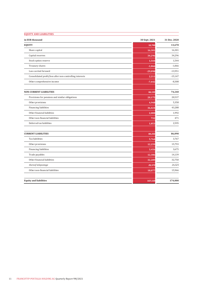| <b>EQUITY AND LIABILITIES</b>                            |               |              |
|----------------------------------------------------------|---------------|--------------|
| in EUR thousand                                          | 30 Sept. 2021 | 31 Dec. 2020 |
| <b>EQUITY</b>                                            | 16,746        | 13,670       |
| Share capital                                            | 16,301        | 16,301       |
| Capital reserves                                         | 34,296        | 34,296       |
| Stock option reserve                                     | 1,544         | 1,544        |
| Treasury shares                                          | $-1,066$      | $-1,066$     |
| Loss carried forward                                     | $-29,098$     | $-13,951$    |
| Consolidated profit/loss after non-controlling interests | 2,211         | $-15,147$    |
| Other comprehensive income                               | $-7,442$      | $-8,308$     |
| <b>NON-CURRENT LIABILITIES</b>                           | 66,132        | 74,240       |
| Provisions for pensions and similar obligations          | 20,175        | 20,537       |
| Other provisions                                         | 4,948         | 5,358        |
| Financing liabilities                                    | 36,424        | 43,288       |
| Other financial liabilities                              | 2,000         | 1,992        |
| Other non-financial liabilities                          | 732           | 471          |
| Deferred tax liabilities                                 | 1,853         | 2,595        |
| <b>CURRENT LIABILITIES</b>                               | 84,232        | 86,090       |
| Tax liabilities                                          | 5,764         | 3,767        |
| Other provisions                                         | 12,259        | 15,793       |
| Financing liabilities                                    | 3,456         | 3,675        |
| Trade payables                                           | 12,386        | 14,139       |
| Other financial liabilities                              | 32,289        | 32,750       |
| thereof telepostage                                      | 26,573        | 26,525       |
| Other non-financial liabilities                          | 18,077        | 15,966       |
| <b>Equity and liabilities</b>                            | 167,110       | 174,000      |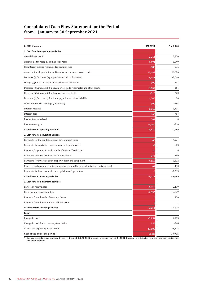#### **Consolidated Cash Flow Statement for the Period from 1 January to 30 September 2021**

| in EUR thousand                                                                                                 | 9M 2021  | 9M2020       |
|-----------------------------------------------------------------------------------------------------------------|----------|--------------|
| 1. Cash flow from operating activities                                                                          |          |              |
| Consolidated profit                                                                                             | 2,211    | 3,770        |
| Net income tax recognised in profit or loss                                                                     | 1,191    | 1,849        |
| Net interest income recognised in profit or loss                                                                | $-880$   | $-916$       |
| Amortisation, depreciation and impairment on non-current assets                                                 | 13,482   | 14,606       |
| Decrease (-)/increase (+) in provisions and tax liabilities                                                     | $-3,953$ | $-2,060$     |
| Loss $(+)/$ gain $(-)$ on the disposal of non-current assets                                                    | 199      | 242          |
| Decrease (+)/increase (-) in inventories, trade receivables and other assets                                    | $-3,652$ | -364         |
| Decrease (+)/increase (-) in finance lease receivables                                                          | $-813$   | 270          |
| Decrease $\left(\frac{1}{1}\right)$ increase $\left(\frac{1}{1}\right)$ in trade payables and other liabilities | 1,345    | 86           |
| Other non-cash expenses (+)/income (-)                                                                          | 590      | $-384$       |
| Interest received                                                                                               | 1,910    | 1,794        |
| Interest paid                                                                                                   | $-965$   | $-767$       |
| Income taxes received                                                                                           | 384      | $\mathbf{0}$ |
| Income taxes paid                                                                                               | $-1,440$ | $-560$       |
| Cash flow from operating activities                                                                             | 9,610    | 17,566       |
| 2. Cash flow from investing activities                                                                          |          |              |
| Payments for the capitalisation of development costs                                                            | $-68$    | $-4,924$     |
| Payments for capitalised interest on development costs                                                          | .g       | $-73$        |
| Proceeds/payments from disposals of items of fixed assets                                                       | 30       | 16           |
| Payments for investments in intangible assets                                                                   | $-373$   | $-569$       |
| Payments for investments in property, plant and equipment                                                       | $-4,655$ | $-3,172$     |
| Proceeds and payments for investments accounted for according to the equity method                              | 64       | $-480$       |
| Payments for investments in the acquisition of operations                                                       |          | $-1,263$     |
| Cash flow from investing activities                                                                             | $-5,011$ | $-10,465$    |
| 3. Cash flow from financing activities                                                                          |          |              |
| Bank loan repayments                                                                                            | $-6,918$ | $-2,459$     |
| Repayment of lease liabilities                                                                                  | $-2,936$ | $-2,829$     |
| Proceeds from the sale of treasury shares                                                                       |          | 350          |
| Proceeds from the assumption of bank loans                                                                      |          | 2            |
| Cash flow from financing activities                                                                             | $-9,854$ | $-4,936$     |
| Cash <sup>1)</sup>                                                                                              |          |              |
| Change in cash                                                                                                  | $-5,254$ | 2,165        |
| Change in cash due to currency translation                                                                      | 558      | $-748$       |
| Cash at the beginning of the period                                                                             | 23,180   | 18,518       |
| Cash at the end of the period                                                                                   | 18,483   | 19,935       |

1) Postage credit balances managed by the FP Group of EUR 12,133 thousand (previous year: EUR 10,281 thousand) are deducted from cash and cash equivalents and other liabilities.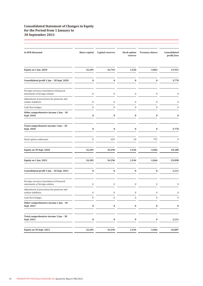#### **Consolidated Statement of Changes in Equity for the Period from 1 January to 30 September 2021**

| in EUR thousand                                                             | Share capital    | <b>Capital reserves</b> | <b>Stock option</b><br>reserve | <b>Treasury shares</b> | Consolidated<br>profit/loss |
|-----------------------------------------------------------------------------|------------------|-------------------------|--------------------------------|------------------------|-----------------------------|
| Equity on 1 Jan. 2020                                                       | 16,301           | 34,743                  | 1,520                          | $-1,863$               | $-13,951$                   |
| Consolidated profit 1 Jan. - 30 Sept. 2020                                  | $\bf{0}$         | $\bf{0}$                | $\bf{0}$                       | $\bf{0}$               | 3,770                       |
| Foreign currency translation of financial<br>statements of foreign entities | $\boldsymbol{0}$ | $\boldsymbol{0}$        | $\boldsymbol{0}$               | $\boldsymbol{0}$       | $\boldsymbol{0}$            |
| Adjustment of provisions for pensions and<br>similar liabilities            | $\boldsymbol{0}$ | $\boldsymbol{0}$        | $\bf{0}$                       | $\bf{0}$               | $\bf{0}$                    |
| Cash flow hedges                                                            | $\boldsymbol{0}$ | $\boldsymbol{0}$        | $\boldsymbol{0}$               | $\boldsymbol{0}$       | $\boldsymbol{0}$            |
| Other comprehensive income 1 Jan. - 30<br>Sept. 2020                        | $\pmb{0}$        | $\bf{0}$                | $\bf{0}$                       | $\pmb{0}$              | $\bf{0}$                    |
| Total comprehensive income 1 Jan. - 30<br>Sept. 2020                        | $\bf{0}$         | $\bf{0}$                | $\bf{0}$                       | $\bf{0}$               | 3,770                       |
| Stock option settlement                                                     | $\boldsymbol{0}$ | $-447$                  | 24                             | 797                    | $\boldsymbol{0}$            |
| Equity on 30 Sept. 2020                                                     | 16,301           | 34,296                  | 1,544                          | $-1,066$               | $-10,180$                   |
| Equity on 1 Jan. 2021                                                       | 16,301           | 34,296                  | 1,544                          | $-1,066$               | $-29,098$                   |
| Consolidated profit 1 Jan. - 30 Sept. 2021                                  | $\bf{0}$         | $\bf{0}$                | $\bf{0}$                       | $\bf{0}$               | 2,211                       |
| Foreign currency translation of financial<br>statements of foreign entities | $\boldsymbol{0}$ | $\boldsymbol{0}$        | $\boldsymbol{0}$               | $\mathbf{0}$           | $\boldsymbol{0}$            |
| Adjustment of provisions for pensions and<br>similar liabilities            | 0                | $\boldsymbol{0}$        | 0                              | $\bf{0}$               | $\boldsymbol{0}$            |
| Cash flow hedges                                                            | $\Omega$         | $\theta$                | 0                              | $\theta$               |                             |
| Other comprehensive income 1 Jan. - 30<br>Sept. 2021                        | 0                | $\bf{0}$                | $\bf{0}$                       | $\bf{0}$               | $\bf{0}$                    |
| Total comprehensive income 1 Jan. - 30<br>Sept. 2021                        | $\boldsymbol{0}$ | $\boldsymbol{0}$        | $\pmb{0}$                      | $\boldsymbol{0}$       | 2,211                       |
| Equity on 30 Sept. 2021                                                     | 16,301           | 34,296                  | 1,544                          | $-1,066$               | $-26,887$                   |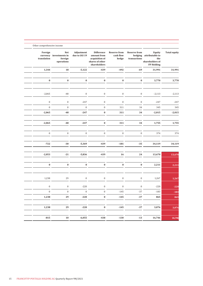| <b>Total equity</b> | Equity<br>hedging attributable to<br>the<br>shareholders of<br><b>FP Holding</b> | <b>Reserve from</b><br>transactions | <b>Reserve from</b><br>cash flow<br>hedge | <b>Difference</b><br>amount from<br>acquisition of<br>shares of other<br>shareholders | Adjustment<br>due to IAS 19 | Net<br>currency investments in<br>foreign<br>operations | Foreign<br>translation |
|---------------------|----------------------------------------------------------------------------------|-------------------------------------|-------------------------------------------|---------------------------------------------------------------------------------------|-----------------------------|---------------------------------------------------------|------------------------|
| 31,991              | 31,991                                                                           | $-69$                               | $-492$                                    | $-439$                                                                                | $-5,122$                    | 18                                                      | 1,344                  |
|                     |                                                                                  |                                     |                                           |                                                                                       |                             |                                                         |                        |
| 3,770               | 3,770                                                                            | $\pmb{0}$                           | $\pmb{0}$                                 | $\bf{0}$                                                                              | $\pmb{0}$                   | $\pmb{0}$                                               | $\pmb{0}$              |
| $-2,113$            | $-2,113$                                                                         | $\boldsymbol{0}$                    | $\boldsymbol{0}$                          | $\boldsymbol{0}$                                                                      | $\boldsymbol{0}$            | $-48$                                                   | $-2,065$               |
| $-247$              | $-247$                                                                           | $\boldsymbol{0}$                    | $\boldsymbol{0}$                          | $\bf{0}$                                                                              | $-247$                      | $\bf{0}$                                                | $\bf{0}$               |
| 345                 | 345                                                                              | 34                                  | 311                                       | $\boldsymbol{0}$                                                                      | $\boldsymbol{0}$            | $\bf{0}$                                                | $\bf{0}$               |
| $-2,015$            | $-2,015$                                                                         | 34                                  | 311                                       | $\bf{0}$                                                                              | $-247$                      | $-48$                                                   | $-2,065$               |
| 1,755               | 1,755                                                                            | 34                                  | 311                                       | $\pmb{0}$                                                                             | $-247$                      | $-48$                                                   | $-2,065$               |
| 374                 | 374                                                                              | $\bf{0}$                            | $\mathbf{0}$                              | $\mathbf{0}$                                                                          | $\boldsymbol{0}$            | $\boldsymbol{0}$                                        | $\boldsymbol{0}$       |
| 34,119              | 34,119                                                                           | $-35$                               | $-181$                                    | $-439$                                                                                | $-5,369$                    | $-30$                                                   | $-722$                 |
| 13,670              | 13,670                                                                           | 24                                  | 16                                        | $-439$                                                                                | $-5,836$                    | $-21$                                                   | $-2,053$               |
| 2,211               | 2,211                                                                            | $\pmb{0}$                           | $\pmb{0}$                                 | $\pmb{0}$                                                                             | $\pmb{0}$                   | $\pmb{0}$                                               | $\pmb{0}$              |
| 1,267               | 1,267                                                                            | $\boldsymbol{0}$                    | $\boldsymbol{0}$                          | $\bf{0}$                                                                              | $\boldsymbol{0}$            | 29                                                      | 1,238                  |
| $-220$              | $-220$                                                                           | $\boldsymbol{0}$                    | $\boldsymbol{0}$                          | $\bf{0}$                                                                              | $-220$                      | $\boldsymbol{0}$                                        | $\boldsymbol{0}$       |
| $-183$              | $-183$                                                                           | $-37$                               | $-145$                                    | $\boldsymbol{0}$                                                                      | $\boldsymbol{0}$            | $\boldsymbol{0}$                                        | $\boldsymbol{0}$       |
| 865                 | 865                                                                              | $-37$                               | $-145$                                    | $\pmb{0}$                                                                             | $-220$                      | 29                                                      | 1,238                  |
|                     |                                                                                  |                                     |                                           |                                                                                       |                             |                                                         |                        |
| 3,076               | 3,076                                                                            | $-37$                               | $-145$                                    | $\pmb{0}$                                                                             | $-220$                      | ${\bf 29}$                                              | 1,238                  |
| 16,746              | 16,746                                                                           | $-13$                               | $-130$                                    | $-438$                                                                                | $-6,055$                    | 10                                                      | $-815$                 |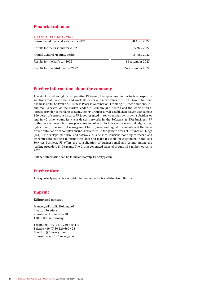#### **Financial calendar**

| <b>FINANCIAL CALENDAR 2022</b>         |                  |
|----------------------------------------|------------------|
| Consolidated financial statements 2021 | 28 April 2022    |
| Results for the first quarter 2022     | 25 May 2022      |
| Annual General Meeting, Berlin         | 15 June 2022     |
| Results for the half year 2022         | 1 September 2022 |
| Results for the third quarter 2022     | 24 November 2022 |

#### **Further information about the company**

The stock-listed and globally operating FP Group, headquartered in Berlin, is an expert in solutions that make office and work life easier and more efficient. The FP Group has four business units: Software & Business Process Automation, Franking & Office Solutions, IoT and Mail Services. As the market leader in Germany and Austria and the world's thirdlargest provider of franking systems, the FP Group is a well-established player with almost 100 years of corporate history. FP is represented in ten countries by its own subsidiaries and in 40 other countries via a dealer network. In the Software & BPA business, FP optimises customers' business processes and offers solutions such as electronic signatures, hybrid mail, input/output management for physical and digital documents and the datadriven automation of complex business processes. In the growth areas of Internet of Things (IoT), FP develops platform- and software-as-a-service solutions not only to record and transmit data, but also to format this data and make it usable for customers. In the Mail Services business, FP offers the consolidation of business mail and counts among the leading providers in Germany. The Group generated sales of around 196 million euros in 2020.

Further information can be found at www.fp-francotyp.com.

#### **Further Note**

This quarterly report is a non-binding convenience translation from German.

#### **Imprint**

#### **Editor and contact**

Francotyp-Postalia Holding AG Investor Relations Prenzlauer Promenade 28 13089 Berlin Germany

Telephone: +49 (0)30 220 660 410 Telefax: +49 (0)30 220 660 425 E-mail: ir@francotyp.com Internet: www.fp-francotyp.com